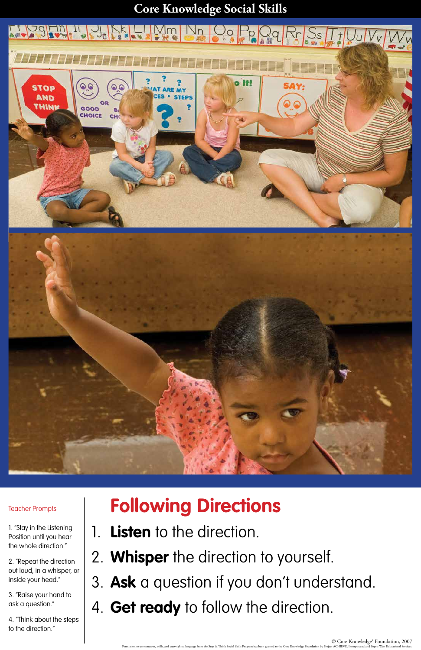### **Core Knowledge Social Skills**



© Core Knowledge® Foundation, 2007

Permission to use concepts, skills, and copyrighted language from the Stop & Think Social Skills Program has been granted to the Core Knowledge Foundation by Project ACHIEVE, Incorporated and Sopris West Educational Servic

# **Following Directions**

- 1. **Listen** to the direction.
- 2. **Whisper** the direction to yourself.
- 3. **Ask** a question if you don't understand.
- 4. **Get ready** to follow the direction.

Teacher Prompts

1. "Stay in the Listening Position until you hear the whole direction."

2. "Repeat the direction out loud, in a whisper, or inside your head."

3. "Raise your hand to ask a question."

4. "Think about the steps to the direction."